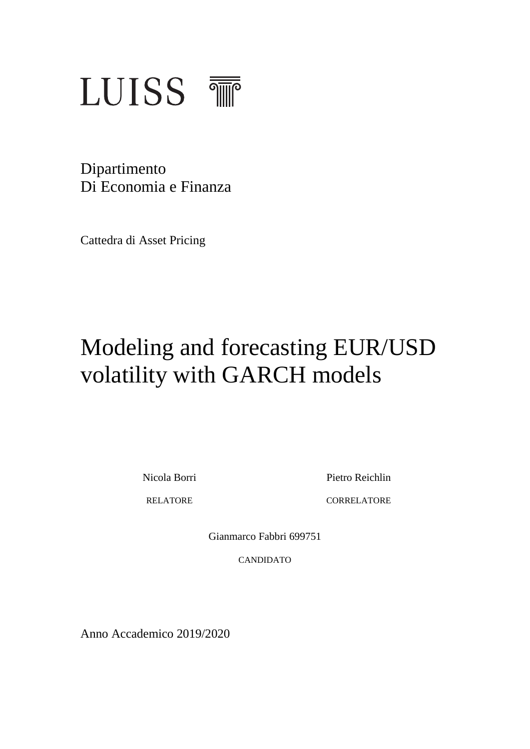

Dipartimento Di Economia e Finanza

Cattedra di Asset Pricing

# Modeling and forecasting EUR/USD volatility with GARCH models

Nicola Borri Pietro Reichlin

RELATORE CORRELATORE

Gianmarco Fabbri 699751

CANDIDATO

Anno Accademico 2019/2020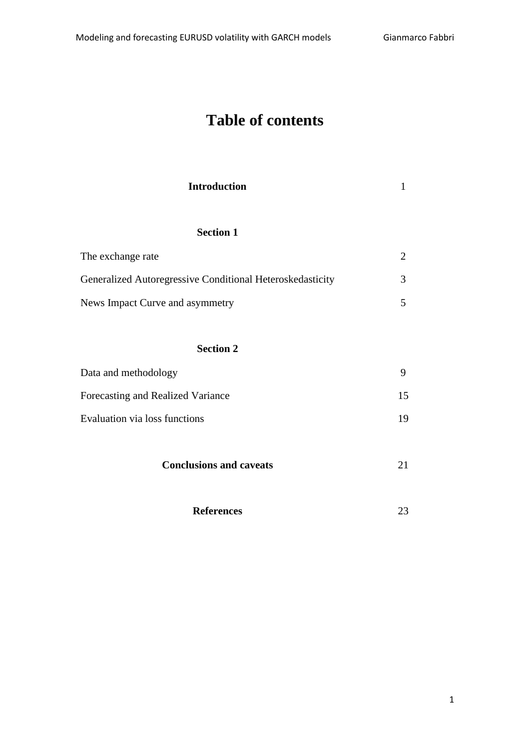# **Table of contents**

| <b>Introduction</b> |  |
|---------------------|--|
| <b>Section 1</b>    |  |
|                     |  |

| The exchange rate                                         |   |
|-----------------------------------------------------------|---|
| Generalized Autoregressive Conditional Heteroskedasticity | 3 |
| News Impact Curve and asymmetry                           |   |

# **Section 2**

| Data and methodology              |    |
|-----------------------------------|----|
| Forecasting and Realized Variance | 15 |
| Evaluation via loss functions     | 19 |

| <b>Conclusions and caveats</b> |  |
|--------------------------------|--|
|--------------------------------|--|

| <b>References</b> |  |
|-------------------|--|
|                   |  |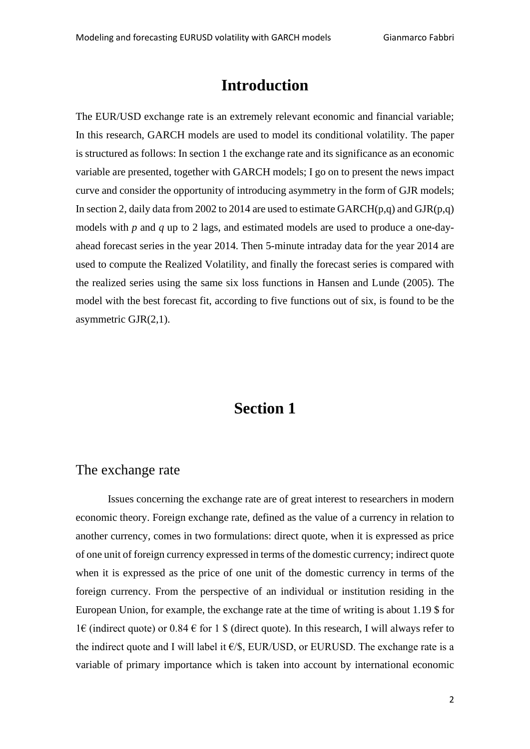# **Introduction**

The EUR/USD exchange rate is an extremely relevant economic and financial variable; In this research, GARCH models are used to model its conditional volatility. The paper is structured as follows: In section 1 the exchange rate and its significance as an economic variable are presented, together with GARCH models; I go on to present the news impact curve and consider the opportunity of introducing asymmetry in the form of GJR models; In section 2, daily data from 2002 to 2014 are used to estimate  $GARCH(p,q)$  and  $GJR(p,q)$ models with *p* and *q* up to 2 lags, and estimated models are used to produce a one-dayahead forecast series in the year 2014. Then 5-minute intraday data for the year 2014 are used to compute the Realized Volatility, and finally the forecast series is compared with the realized series using the same six loss functions in Hansen and Lunde (2005). The model with the best forecast fit, according to five functions out of six, is found to be the asymmetric GJR(2,1).

# **Section 1**

### The exchange rate

Issues concerning the exchange rate are of great interest to researchers in modern economic theory. Foreign exchange rate, defined as the value of a currency in relation to another currency, comes in two formulations: direct quote, when it is expressed as price of one unit of foreign currency expressed in terms of the domestic currency; indirect quote when it is expressed as the price of one unit of the domestic currency in terms of the foreign currency. From the perspective of an individual or institution residing in the European Union, for example, the exchange rate at the time of writing is about 1.19 \$ for 1€ (indirect quote) or 0.84 € for 1 \$ (direct quote). In this research, I will always refer to the indirect quote and I will label it  $\epsilon$ /\$, EUR/USD, or EURUSD. The exchange rate is a variable of primary importance which is taken into account by international economic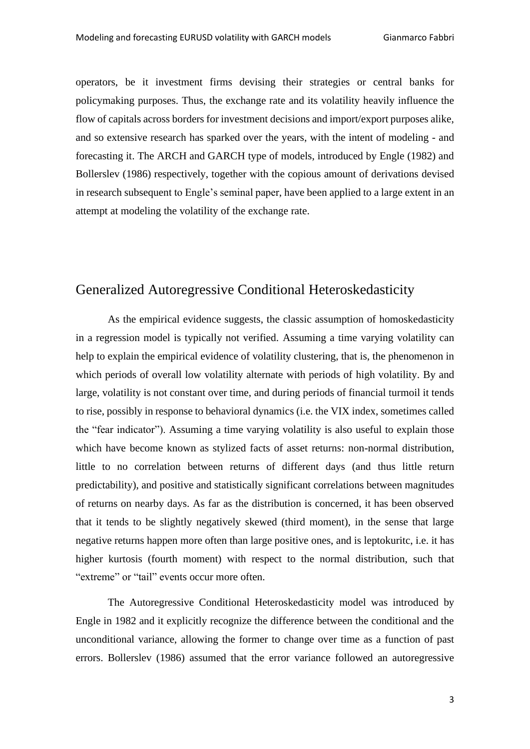operators, be it investment firms devising their strategies or central banks for policymaking purposes. Thus, the exchange rate and its volatility heavily influence the flow of capitals across borders for investment decisions and import/export purposes alike, and so extensive research has sparked over the years, with the intent of modeling - and forecasting it. The ARCH and GARCH type of models, introduced by Engle (1982) and Bollerslev (1986) respectively, together with the copious amount of derivations devised in research subsequent to Engle's seminal paper, have been applied to a large extent in an attempt at modeling the volatility of the exchange rate.

# Generalized Autoregressive Conditional Heteroskedasticity

As the empirical evidence suggests, the classic assumption of homoskedasticity in a regression model is typically not verified. Assuming a time varying volatility can help to explain the empirical evidence of volatility clustering, that is, the phenomenon in which periods of overall low volatility alternate with periods of high volatility. By and large, volatility is not constant over time, and during periods of financial turmoil it tends to rise, possibly in response to behavioral dynamics (i.e. the VIX index, sometimes called the "fear indicator"). Assuming a time varying volatility is also useful to explain those which have become known as stylized facts of asset returns: non-normal distribution, little to no correlation between returns of different days (and thus little return predictability), and positive and statistically significant correlations between magnitudes of returns on nearby days. As far as the distribution is concerned, it has been observed that it tends to be slightly negatively skewed (third moment), in the sense that large negative returns happen more often than large positive ones, and is leptokuritc, i.e. it has higher kurtosis (fourth moment) with respect to the normal distribution, such that "extreme" or "tail" events occur more often.

The Autoregressive Conditional Heteroskedasticity model was introduced by Engle in 1982 and it explicitly recognize the difference between the conditional and the unconditional variance, allowing the former to change over time as a function of past errors. Bollerslev (1986) assumed that the error variance followed an autoregressive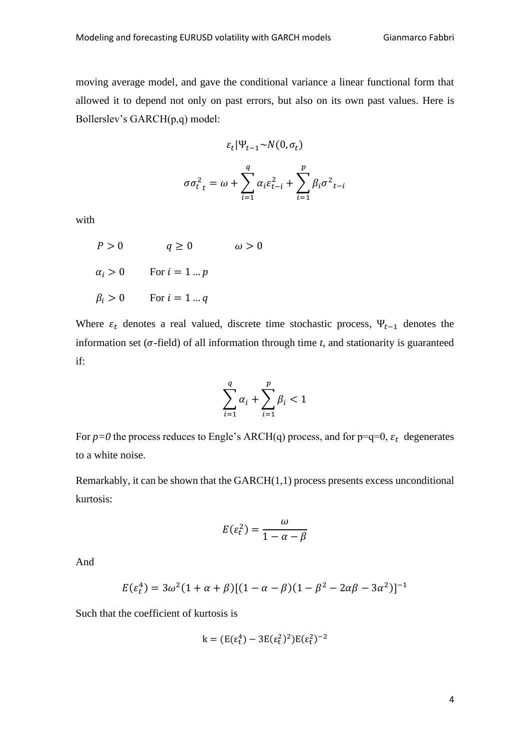moving average model, and gave the conditional variance a linear functional form that allowed it to depend not only on past errors, but also on its own past values. Here is Bollerslev's GARCH(p,q) model:

$$
\varepsilon_t |\Psi_{t-1} \sim N(0, \sigma_t)
$$

$$
\sigma \sigma_{t}^{2} = \omega + \sum_{i=1}^{q} \alpha_{i} \varepsilon_{t-i}^{2} + \sum_{i=1}^{p} \beta_{i} \sigma_{t-i}^{2}
$$

with

$$
P > 0 \t q \ge 0 \t \omega > 0
$$
  

$$
\alpha_i > 0 \t For i = 1 ... p
$$
  

$$
\beta_i > 0 \t For i = 1 ... q
$$

Where  $\varepsilon_t$  denotes a real valued, discrete time stochastic process,  $\Psi_{t-1}$  denotes the information set ( $\sigma$ -field) of all information through time  $t$ , and stationarity is guaranteed if:

$$
\sum_{i=1}^q \alpha_i + \sum_{i=1}^p \beta_i < 1
$$

For  $p=0$  the process reduces to Engle's ARCH(q) process, and for  $p=q=0$ ,  $\varepsilon_t$  degenerates to a white noise.

Remarkably, it can be shown that the  $GARCH(1,1)$  process presents excess unconditional kurtosis:

$$
E(\varepsilon_t^2) = \frac{\omega}{1 - \alpha - \beta}
$$

And

$$
E(\varepsilon_t^4) = 3\omega^2 (1 + \alpha + \beta) [(1 - \alpha - \beta)(1 - \beta^2 - 2\alpha\beta - 3\alpha^2)]^{-1}
$$

Such that the coefficient of kurtosis is

$$
k = (E(\epsilon_t^4) - 3E(\epsilon_t^2)^2)E(\epsilon_t^2)^{-2}
$$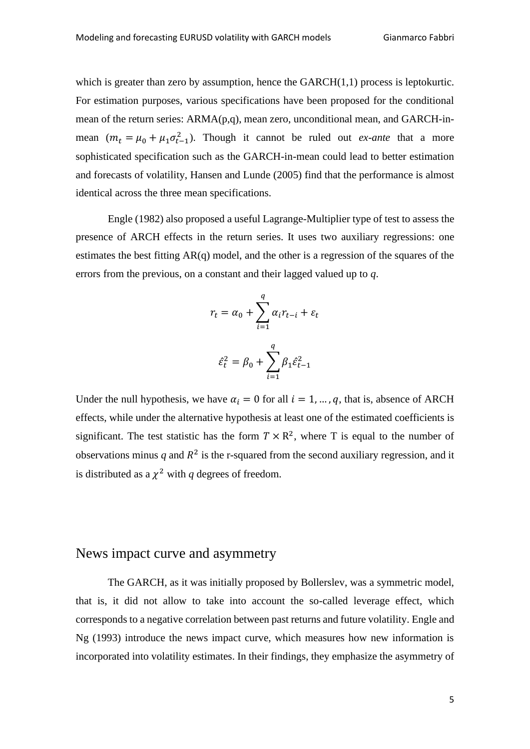which is greater than zero by assumption, hence the  $GARCH(1,1)$  process is leptokurtic. For estimation purposes, various specifications have been proposed for the conditional mean of the return series: ARMA(p,q), mean zero, unconditional mean, and GARCH-inmean  $(m_t = \mu_0 + \mu_1 \sigma_{t-1}^2)$ . Though it cannot be ruled out *ex-ante* that a more sophisticated specification such as the GARCH-in-mean could lead to better estimation and forecasts of volatility, Hansen and Lunde (2005) find that the performance is almost identical across the three mean specifications.

Engle (1982) also proposed a useful Lagrange-Multiplier type of test to assess the presence of ARCH effects in the return series. It uses two auxiliary regressions: one estimates the best fitting AR(q) model, and the other is a regression of the squares of the errors from the previous, on a constant and their lagged valued up to *q*.

$$
r_t = \alpha_0 + \sum_{i=1}^q \alpha_i r_{t-i} + \varepsilon_t
$$

$$
\hat{\varepsilon}_t^2 = \beta_0 + \sum_{i=1}^q \beta_i \hat{\varepsilon}_{t-1}^2
$$

Under the null hypothesis, we have  $\alpha_i = 0$  for all  $i = 1, ..., q$ , that is, absence of ARCH effects, while under the alternative hypothesis at least one of the estimated coefficients is significant. The test statistic has the form  $T \times R^2$ , where T is equal to the number of observations minus  $q$  and  $R^2$  is the r-squared from the second auxiliary regression, and it is distributed as a  $\chi^2$  with *q* degrees of freedom.

# News impact curve and asymmetry

The GARCH, as it was initially proposed by Bollerslev, was a symmetric model, that is, it did not allow to take into account the so-called leverage effect, which corresponds to a negative correlation between past returns and future volatility. Engle and Ng (1993) introduce the news impact curve, which measures how new information is incorporated into volatility estimates. In their findings, they emphasize the asymmetry of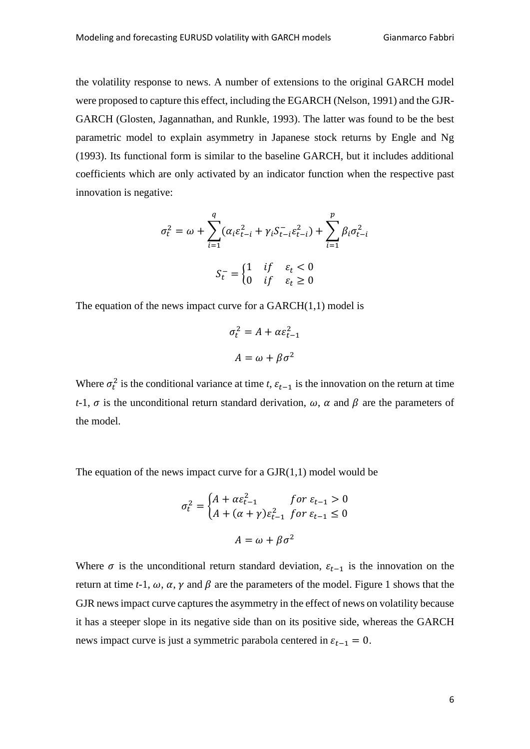the volatility response to news. A number of extensions to the original GARCH model were proposed to capture this effect, including the EGARCH (Nelson, 1991) and the GJR-GARCH (Glosten, Jagannathan, and Runkle, 1993). The latter was found to be the best parametric model to explain asymmetry in Japanese stock returns by Engle and Ng (1993). Its functional form is similar to the baseline GARCH, but it includes additional coefficients which are only activated by an indicator function when the respective past innovation is negative:

$$
\sigma_t^2 = \omega + \sum_{i=1}^q (\alpha_i \varepsilon_{t-i}^2 + \gamma_i S_{t-i} \varepsilon_{t-i}^2) + \sum_{i=1}^p \beta_i \sigma_{t-i}^2
$$

$$
S_t^- = \begin{cases} 1 & \text{if } \varepsilon_t < 0 \\ 0 & \text{if } \varepsilon_t \ge 0 \end{cases}
$$

The equation of the news impact curve for a  $GARCH(1,1)$  model is

$$
\sigma_t^2 = A + \alpha \varepsilon_{t-1}^2
$$

$$
A = \omega + \beta \sigma^2
$$

Where  $\sigma_t^2$  is the conditional variance at time *t*,  $\varepsilon_{t-1}$  is the innovation on the return at time *t*-1,  $\sigma$  is the unconditional return standard derivation,  $\omega$ ,  $\alpha$  and  $\beta$  are the parameters of the model.

The equation of the news impact curve for a  $GJR(1,1)$  model would be

$$
\sigma_t^2 = \begin{cases} A + \alpha \varepsilon_{t-1}^2 & \text{for } \varepsilon_{t-1} > 0 \\ A + (\alpha + \gamma) \varepsilon_{t-1}^2 & \text{for } \varepsilon_{t-1} \le 0 \end{cases}
$$
\n
$$
A = \omega + \beta \sigma^2
$$

Where  $\sigma$  is the unconditional return standard deviation,  $\varepsilon_{t-1}$  is the innovation on the return at time *t*-1,  $\omega$ ,  $\alpha$ ,  $\gamma$  and  $\beta$  are the parameters of the model. Figure 1 shows that the GJR news impact curve captures the asymmetry in the effect of news on volatility because it has a steeper slope in its negative side than on its positive side, whereas the GARCH news impact curve is just a symmetric parabola centered in  $\varepsilon_{t-1} = 0$ .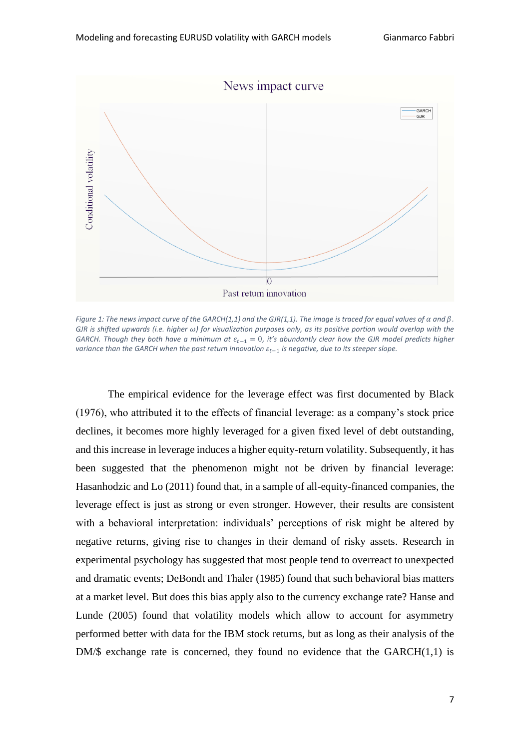

*Figure 1: The news impact curve of the GARCH(1,1) and the GJR(1,1). The image is traced for equal values of*  $\alpha$  *and*  $\beta$ *. GJR is shifted upwards (i.e. higher ) for visualization purposes only, as its positive portion would overlap with the GARCH. Though they both have a minimum at*  $\varepsilon$ <sub>*r*−1</sub> = 0, it's abundantly clear how the GJR model predicts higher *variance than the GARCH when the past return innovation*  $\varepsilon$ <sub>*t*−1</sub> *is negative, due to its steeper slope.* 

The empirical evidence for the leverage effect was first documented by Black (1976), who attributed it to the effects of financial leverage: as a company's stock price declines, it becomes more highly leveraged for a given fixed level of debt outstanding, and this increase in leverage induces a higher equity-return volatility. Subsequently, it has been suggested that the phenomenon might not be driven by financial leverage: Hasanhodzic and Lo (2011) found that, in a sample of all-equity-financed companies, the leverage effect is just as strong or even stronger. However, their results are consistent with a behavioral interpretation: individuals' perceptions of risk might be altered by negative returns, giving rise to changes in their demand of risky assets. Research in experimental psychology has suggested that most people tend to overreact to unexpected and dramatic events; DeBondt and Thaler (1985) found that such behavioral bias matters at a market level. But does this bias apply also to the currency exchange rate? Hanse and Lunde (2005) found that volatility models which allow to account for asymmetry performed better with data for the IBM stock returns, but as long as their analysis of the DM/ $\$  exchange rate is concerned, they found no evidence that the GARCH $(1,1)$  is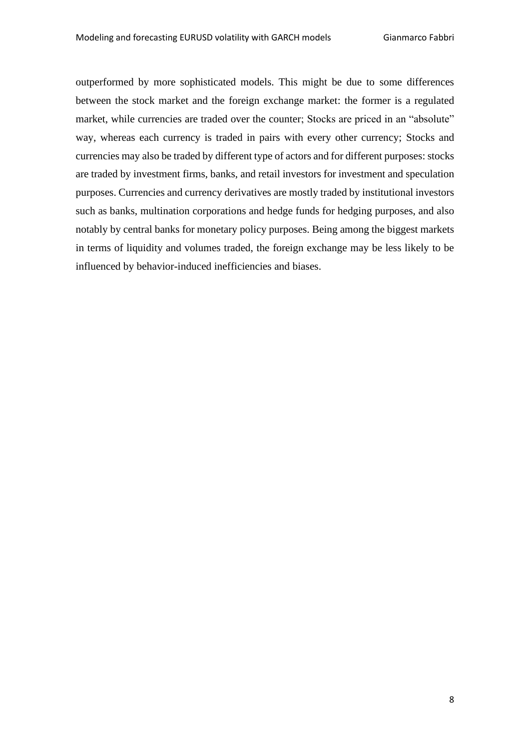outperformed by more sophisticated models. This might be due to some differences between the stock market and the foreign exchange market: the former is a regulated market, while currencies are traded over the counter; Stocks are priced in an "absolute" way, whereas each currency is traded in pairs with every other currency; Stocks and currencies may also be traded by different type of actors and for different purposes: stocks are traded by investment firms, banks, and retail investors for investment and speculation purposes. Currencies and currency derivatives are mostly traded by institutional investors such as banks, multination corporations and hedge funds for hedging purposes, and also notably by central banks for monetary policy purposes. Being among the biggest markets in terms of liquidity and volumes traded, the foreign exchange may be less likely to be influenced by behavior-induced inefficiencies and biases.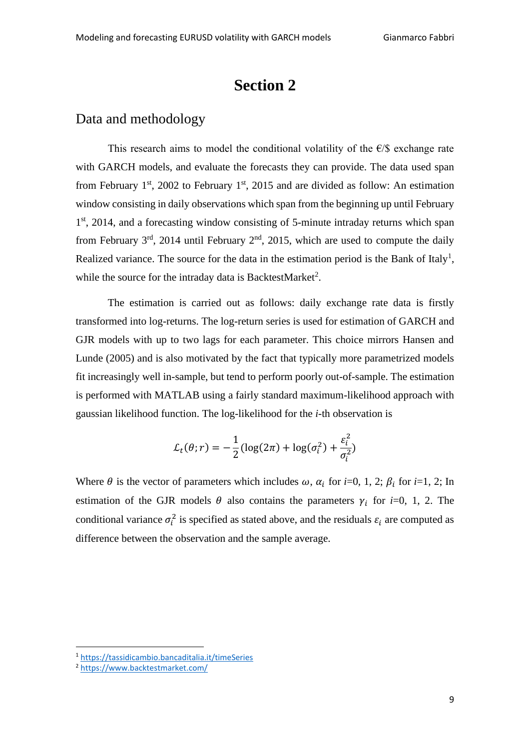# **Section 2**

# Data and methodology

This research aims to model the conditional volatility of the  $E/S$  exchange rate with GARCH models, and evaluate the forecasts they can provide. The data used span from February  $1^{st}$ , 2002 to February  $1^{st}$ , 2015 and are divided as follow: An estimation window consisting in daily observations which span from the beginning up until February 1<sup>st</sup>, 2014, and a forecasting window consisting of 5-minute intraday returns which span from February  $3<sup>rd</sup>$ , 2014 until February  $2<sup>nd</sup>$ , 2015, which are used to compute the daily Realized variance. The source for the data in the estimation period is the Bank of Italy<sup>1</sup>, while the source for the intraday data is BacktestMarket<sup>2</sup>.

The estimation is carried out as follows: daily exchange rate data is firstly transformed into log-returns. The log-return series is used for estimation of GARCH and GJR models with up to two lags for each parameter. This choice mirrors Hansen and Lunde (2005) and is also motivated by the fact that typically more parametrized models fit increasingly well in-sample, but tend to perform poorly out-of-sample. The estimation is performed with MATLAB using a fairly standard maximum-likelihood approach with gaussian likelihood function. The log-likelihood for the *i*-th observation is

$$
\mathcal{L}_t(\theta; r) = -\frac{1}{2} (\log(2\pi) + \log(\sigma_i^2) + \frac{\varepsilon_i^2}{\sigma_i^2})
$$

Where  $\theta$  is the vector of parameters which includes  $\omega$ ,  $\alpha_i$  for *i*=0, 1, 2;  $\beta_i$  for *i*=1, 2; In estimation of the GJR models  $\theta$  also contains the parameters  $\gamma_i$  for *i*=0, 1, 2. The conditional variance  $\sigma_i^2$  is specified as stated above, and the residuals  $\varepsilon_i$  are computed as difference between the observation and the sample average.

<sup>1</sup> <https://tassidicambio.bancaditalia.it/timeSeries>

<sup>2</sup> <https://www.backtestmarket.com/>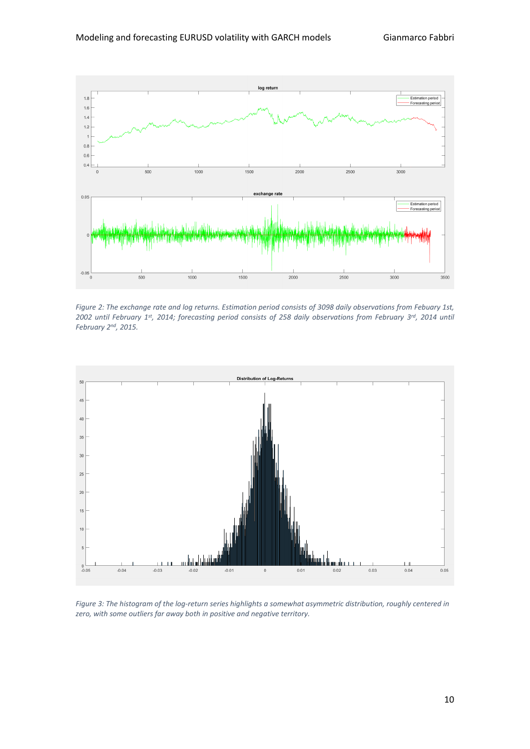

*Figure 2: The exchange rate and log returns. Estimation period consists of 3098 daily observations from Febuary 1st, 2002 until February 1 st, 2014; forecasting period consists of 258 daily observations from February 3 rd, 2014 until February 2nd, 2015.*



*Figure 3: The histogram of the log-return series highlights a somewhat asymmetric distribution, roughly centered in zero, with some outliers far away both in positive and negative territory.*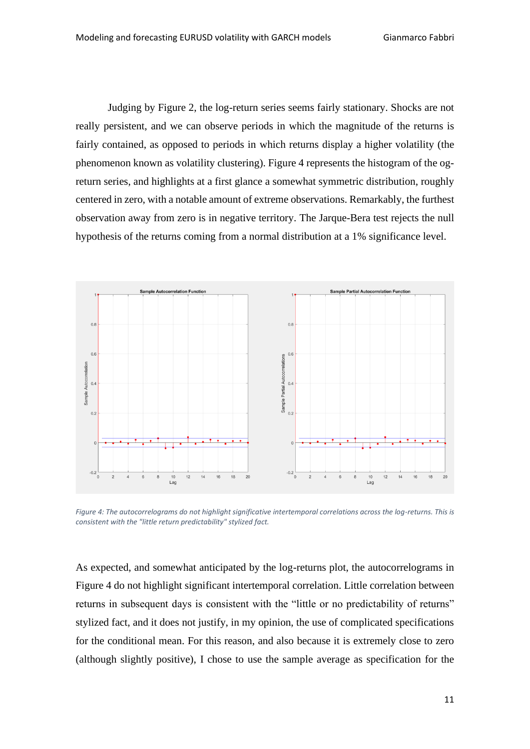Judging by Figure 2, the log-return series seems fairly stationary. Shocks are not really persistent, and we can observe periods in which the magnitude of the returns is fairly contained, as opposed to periods in which returns display a higher volatility (the phenomenon known as volatility clustering). Figure 4 represents the histogram of the ogreturn series, and highlights at a first glance a somewhat symmetric distribution, roughly centered in zero, with a notable amount of extreme observations. Remarkably, the furthest observation away from zero is in negative territory. The Jarque-Bera test rejects the null hypothesis of the returns coming from a normal distribution at a 1% significance level.



Figure 4: The autocorrelograms do not highlight significative intertemporal correlations across the log-returns. This is *consistent with the "little return predictability" stylized fact.*

As expected, and somewhat anticipated by the log-returns plot, the autocorrelograms in Figure 4 do not highlight significant intertemporal correlation. Little correlation between returns in subsequent days is consistent with the "little or no predictability of returns" stylized fact, and it does not justify, in my opinion, the use of complicated specifications for the conditional mean. For this reason, and also because it is extremely close to zero (although slightly positive), I chose to use the sample average as specification for the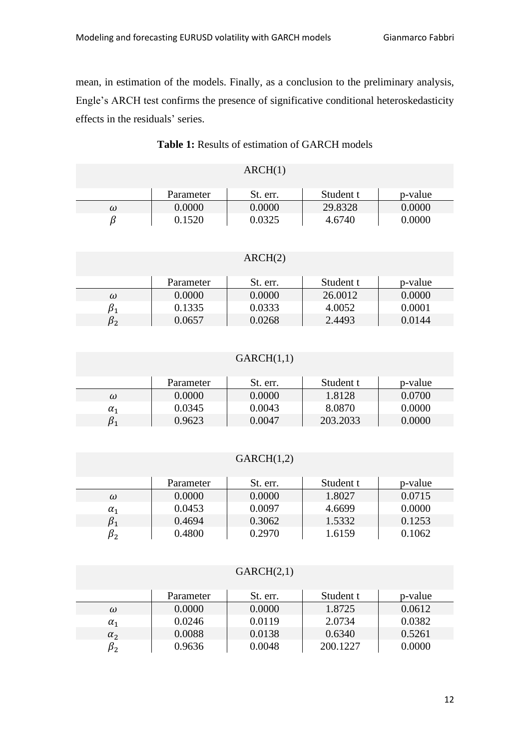mean, in estimation of the models. Finally, as a conclusion to the preliminary analysis, Engle's ARCH test confirms the presence of significative conditional heteroskedasticity effects in the residuals' series.

# **Table 1:** Results of estimation of GARCH models

| ARCH(1) |
|---------|
|---------|

|   | Parameter  | St. err. | Student t | p-value |
|---|------------|----------|-----------|---------|
| ω | $0.0000\,$ | 0.0000   | 29.8328   | 0.0000  |
|   | 0.1520     | 0.0325   | 4.6740    | 0.0000  |

#### ARCH(2)

|    | Parameter | St. err. | Student t | p-value |
|----|-----------|----------|-----------|---------|
| ω  | 0.0000    | 0.0000   | 26.0012   | 0.0000  |
|    | 0.1335    | 0.0333   | 4.0052    | 0.0001  |
| Dγ | 0.0657    | 0.0268   | 2.4493    | 0.0144  |

#### $GARCH(1,1)$

|            | Parameter | St. err. | Student t | p-value |
|------------|-----------|----------|-----------|---------|
| ω          | 0.0000    | 0.0000   | 1.8128    | 0.0700  |
| $\alpha_1$ | 0.0345    | 0.0043   | 8.0870    | 0.0000  |
|            | 0.9623    | 0.0047   | 203.2033  | 0.0000  |

#### $GARCH(1,2)$

|            | Parameter | St. err. | Student t | p-value |
|------------|-----------|----------|-----------|---------|
| ω          | 0.0000    | 0.0000   | 1.8027    | 0.0715  |
| $\alpha_1$ | 0.0453    | 0.0097   | 4.6699    | 0.0000  |
|            | 0.4694    | 0.3062   | 1.5332    | 0.1253  |
| P2         | 0.4800    | 0.2970   | 1.6159    | 0.1062  |

#### $GARCH(2,1)$

|              | Parameter | St. err. | Student t | p-value |
|--------------|-----------|----------|-----------|---------|
| ω            | 0.0000    | 0.0000   | 1.8725    | 0.0612  |
| $\alpha_1$   | 0.0246    | 0.0119   | 2.0734    | 0.0382  |
| $\alpha_{2}$ | 0.0088    | 0.0138   | 0.6340    | 0.5261  |
| Dγ           | 0.9636    | 0.0048   | 200.1227  | 0.0000  |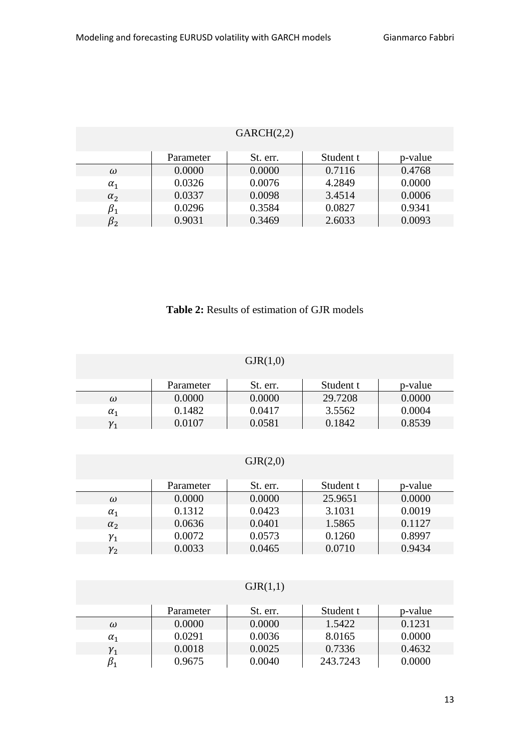| GARCH(2,2)  |           |          |           |         |  |
|-------------|-----------|----------|-----------|---------|--|
|             | Parameter | St. err. | Student t | p-value |  |
| ω           | 0.0000    | 0.0000   | 0.7116    | 0.4768  |  |
| $\alpha_1$  | 0.0326    | 0.0076   | 4.2849    | 0.0000  |  |
| $\alpha_2$  | 0.0337    | 0.0098   | 3.4514    | 0.0006  |  |
| $\beta_1$   | 0.0296    | 0.3584   | 0.0827    | 0.9341  |  |
| $\beta_{2}$ | 0.9031    | 0.3469   | 2.6033    | 0.0093  |  |

### $G \cup R$   $G \cup G$

# **Table 2:** Results of estimation of GJR models

| GJR(1,0)        |           |          |           |         |  |  |
|-----------------|-----------|----------|-----------|---------|--|--|
|                 | Parameter | St. err. | Student t | p-value |  |  |
| $\omega$        | 0.0000    | 0.0000   | 29.7208   | 0.0000  |  |  |
| $\alpha_1$      | 0.1482    | 0.0417   | 3.5562    | 0.0004  |  |  |
| $\mathcal{V}_1$ | 0.0107    | 0.0581   | 0.1842    | 0.8539  |  |  |

### $GJR(2,0)$

|              | Parameter | St. err. | Student t | p-value |
|--------------|-----------|----------|-----------|---------|
| ω            | 0.0000    | 0.0000   | 25.9651   | 0.0000  |
| $\alpha_{1}$ | 0.1312    | 0.0423   | 3.1031    | 0.0019  |
| $\alpha_{2}$ | 0.0636    | 0.0401   | 1.5865    | 0.1127  |
| $\gamma_1$   | 0.0072    | 0.0573   | 0.1260    | 0.8997  |
| ${\gamma}_2$ | 0.0033    | 0.0465   | 0.0710    | 0.9434  |

### $GJR(1,1)$

|              | Parameter | St. err. | Student t | p-value |
|--------------|-----------|----------|-----------|---------|
| $\omega$     | 0.0000    | 0.0000   | 1.5422    | 0.1231  |
| $\alpha_{1}$ | 0.0291    | 0.0036   | 8.0165    | 0.0000  |
| $v_1$        | 0.0018    | 0.0025   | 0.7336    | 0.4632  |
|              | 0.9675    | 0.0040   | 243.7243  | 0.0000  |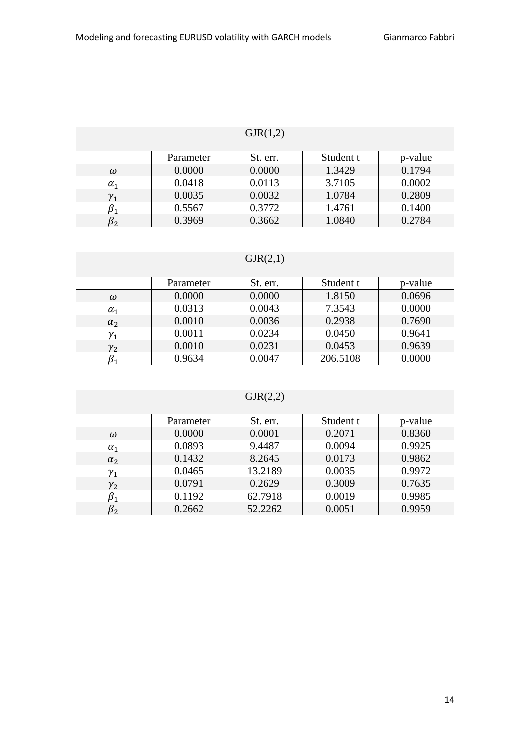# $GJR(1,2)$

|            | Parameter | St. err. | Student t | p-value |
|------------|-----------|----------|-----------|---------|
| ω          | 0.0000    | 0.0000   | 1.3429    | 0.1794  |
| $\alpha_1$ | 0.0418    | 0.0113   | 3.7105    | 0.0002  |
| $\gamma_1$ | 0.0035    | 0.0032   | 1.0784    | 0.2809  |
|            | 0.5567    | 0.3772   | 1.4761    | 0.1400  |
| D,         | 0.3969    | 0.3662   | 1.0840    | 0.2784  |

### $GJR(2,1)$

|              | Parameter | St. err. | Student t | p-value |
|--------------|-----------|----------|-----------|---------|
| $\omega$     | 0.0000    | 0.0000   | 1.8150    | 0.0696  |
| $\alpha_1$   | 0.0313    | 0.0043   | 7.3543    | 0.0000  |
| $\alpha_{2}$ | 0.0010    | 0.0036   | 0.2938    | 0.7690  |
| ${\gamma}_1$ | 0.0011    | 0.0234   | 0.0450    | 0.9641  |
| $\gamma_{2}$ | 0.0010    | 0.0231   | 0.0453    | 0.9639  |
|              | 0.9634    | 0.0047   | 206.5108  | 0.0000  |

# $GJR(2,2)$

|              | Parameter | St. err. | Student t | p-value |
|--------------|-----------|----------|-----------|---------|
| $\omega$     | 0.0000    | 0.0001   | 0.2071    | 0.8360  |
| $\alpha_1$   | 0.0893    | 9.4487   | 0.0094    | 0.9925  |
| $\alpha_{2}$ | 0.1432    | 8.2645   | 0.0173    | 0.9862  |
| $\gamma_1$   | 0.0465    | 13.2189  | 0.0035    | 0.9972  |
| $\gamma_2$   | 0.0791    | 0.2629   | 0.3009    | 0.7635  |
| $\beta_1$    | 0.1192    | 62.7918  | 0.0019    | 0.9985  |
| $\beta_{2}$  | 0.2662    | 52.2262  | 0.0051    | 0.9959  |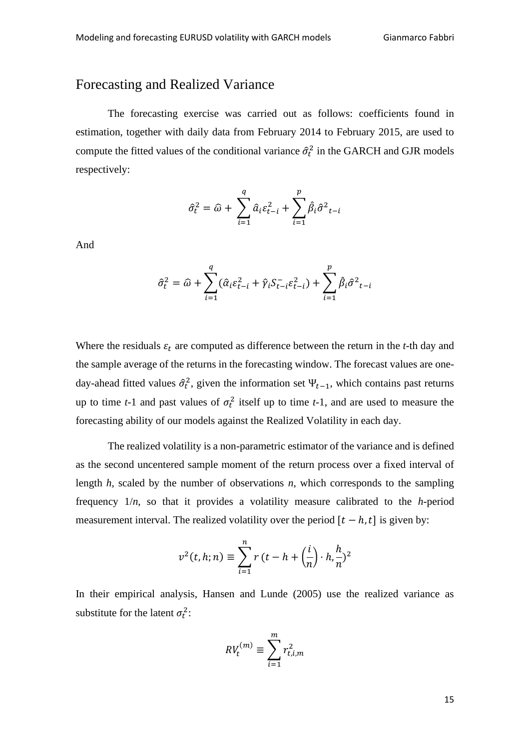# Forecasting and Realized Variance

The forecasting exercise was carried out as follows: coefficients found in estimation, together with daily data from February 2014 to February 2015, are used to compute the fitted values of the conditional variance  $\hat{\sigma}_t^2$  in the GARCH and GJR models respectively:

$$
\hat{\sigma}_t^2 = \hat{\omega} + \sum_{i=1}^q \hat{a}_i \varepsilon_{t-i}^2 + \sum_{i=1}^p \hat{\beta}_i \hat{\sigma}^2_{t-i}
$$

And

$$
\hat{\sigma}_t^2 = \hat{\omega} + \sum_{i=1}^q (\hat{\alpha}_i \varepsilon_{t-i}^2 + \hat{\gamma}_i S_{t-i}^{-} \varepsilon_{t-i}^2) + \sum_{i=1}^p \hat{\beta}_i \hat{\sigma}^2_{t-i}
$$

Where the residuals  $\varepsilon_t$  are computed as difference between the return in the *t*-th day and the sample average of the returns in the forecasting window. The forecast values are oneday-ahead fitted values  $\hat{\sigma}_t^2$ , given the information set  $\Psi_{t-1}$ , which contains past returns up to time  $t-1$  and past values of  $\sigma_t^2$  itself up to time  $t-1$ , and are used to measure the forecasting ability of our models against the Realized Volatility in each day.

The realized volatility is a non-parametric estimator of the variance and is defined as the second uncentered sample moment of the return process over a fixed interval of length *h*, scaled by the number of observations *n*, which corresponds to the sampling frequency 1/*n*, so that it provides a volatility measure calibrated to the *h*-period measurement interval. The realized volatility over the period  $[t - h, t]$  is given by:

$$
v^{2}(t, h; n) \equiv \sum_{i=1}^{n} r(t-h + \left(\frac{i}{n}\right) \cdot h, \frac{h}{n})^{2}
$$

In their empirical analysis, Hansen and Lunde (2005) use the realized variance as substitute for the latent  $\sigma_t^2$ :

$$
RV_t^{(m)} \equiv \sum_{i=1}^m r_{t,i,m}^2
$$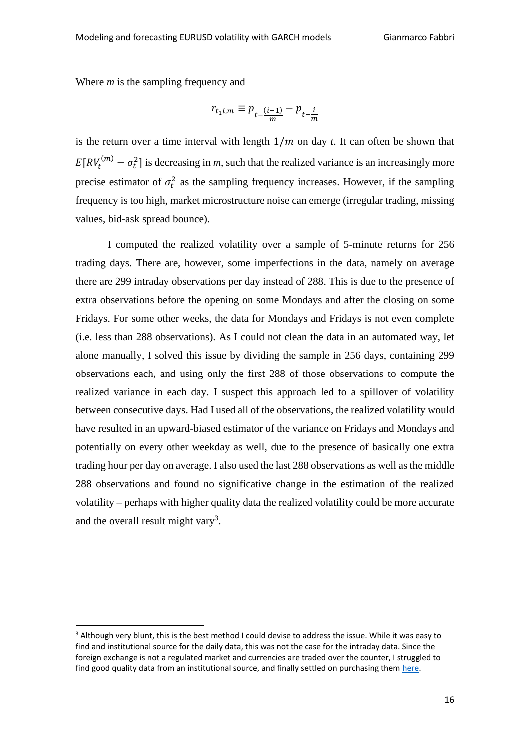Where *m* is the sampling frequency and

$$
r_{t_1 i, m} \equiv p_{t - \frac{(i-1)}{m}} - p_{t - \frac{i}{m}}
$$

is the return over a time interval with length  $1/m$  on day *t*. It can often be shown that  $E[RV_t^{(m)} - \sigma_t^2]$  is decreasing in *m*, such that the realized variance is an increasingly more precise estimator of  $\sigma_t^2$  as the sampling frequency increases. However, if the sampling frequency is too high, market microstructure noise can emerge (irregular trading, missing values, bid-ask spread bounce).

I computed the realized volatility over a sample of 5-minute returns for 256 trading days. There are, however, some imperfections in the data, namely on average there are 299 intraday observations per day instead of 288. This is due to the presence of extra observations before the opening on some Mondays and after the closing on some Fridays. For some other weeks, the data for Mondays and Fridays is not even complete (i.e. less than 288 observations). As I could not clean the data in an automated way, let alone manually, I solved this issue by dividing the sample in 256 days, containing 299 observations each, and using only the first 288 of those observations to compute the realized variance in each day. I suspect this approach led to a spillover of volatility between consecutive days. Had I used all of the observations, the realized volatility would have resulted in an upward-biased estimator of the variance on Fridays and Mondays and potentially on every other weekday as well, due to the presence of basically one extra trading hour per day on average. I also used the last 288 observations as well as the middle 288 observations and found no significative change in the estimation of the realized volatility – perhaps with higher quality data the realized volatility could be more accurate and the overall result might vary<sup>3</sup>.

<sup>&</sup>lt;sup>3</sup> Although very blunt, this is the best method I could devise to address the issue. While it was easy to find and institutional source for the daily data, this was not the case for the intraday data. Since the foreign exchange is not a regulated market and currencies are traded over the counter, I struggled to find good quality data from an institutional source, and finally settled on purchasing them [here.](https://www.backtestmarket.com/)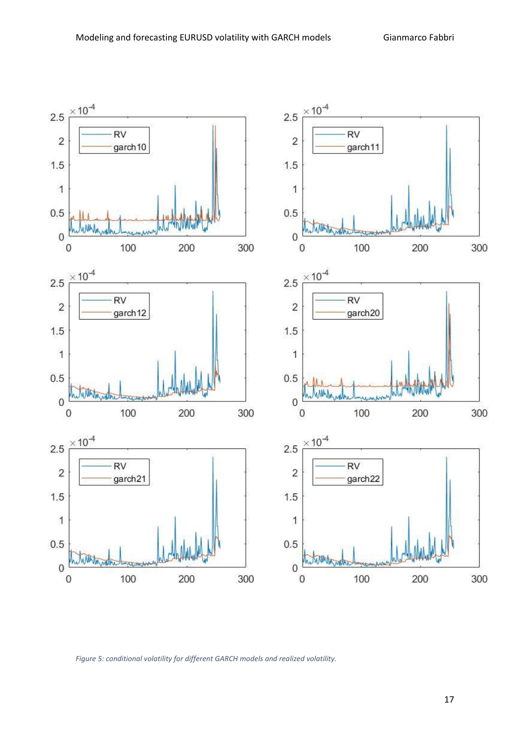

*Figure 5: conditional volatility for different GARCH models and realized volatility.*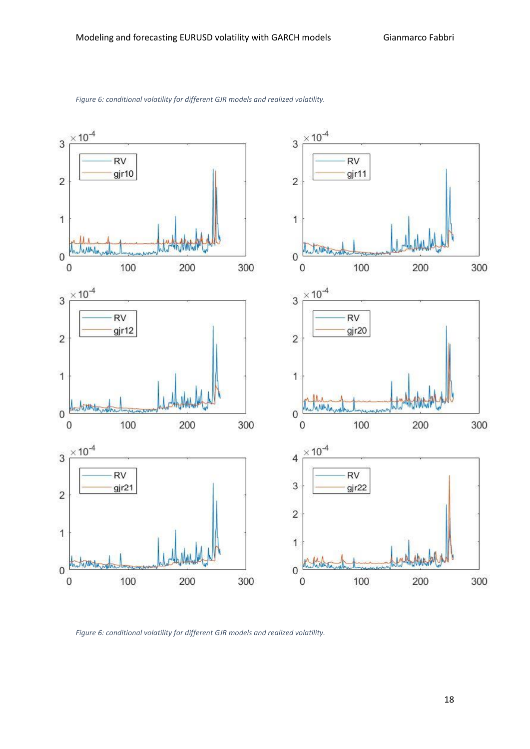



*Figure 6: conditional volatility for different GJR models and realized volatility.*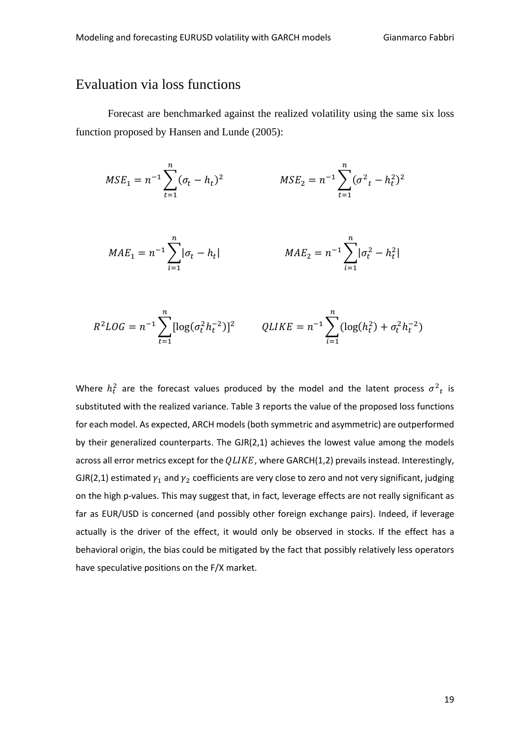# Evaluation via loss functions

Forecast are benchmarked against the realized volatility using the same six loss function proposed by Hansen and Lunde (2005):

$$
MSE_1 = n^{-1} \sum_{t=1}^{n} (\sigma_t - h_t)^2 \qquad \qquad MSE_2 = n^{-1} \sum_{t=1}^{n} (\sigma^2 - h_t^2)^2
$$

$$
MAE_1 = n^{-1} \sum_{i=1}^{n} |\sigma_t - h_t|
$$
  

$$
MAE_2 = n^{-1} \sum_{i=1}^{n} |\sigma_t^2 - h_t^2|
$$

$$
R^2LOG = n^{-1} \sum_{t=1}^{n} [\log(\sigma_t^2 h_t^{-2})]^2 \qquad QLIKE = n^{-1} \sum_{i=1}^{n} (\log(h_t^2) + \sigma_t^2 h_t^{-2})
$$

Where  $h_t^2$  are the forecast values produced by the model and the latent process  $\sigma^2{}_t$  is substituted with the realized variance. Table 3 reports the value of the proposed loss functions for each model. As expected, ARCH models (both symmetric and asymmetric) are outperformed by their generalized counterparts. The GJR(2,1) achieves the lowest value among the models across all error metrics except for the  $QLIKE$ , where GARCH(1,2) prevails instead. Interestingly, GJR(2,1) estimated  $\gamma_1$  and  $\gamma_2$  coefficients are very close to zero and not very significant, judging on the high p-values. This may suggest that, in fact, leverage effects are not really significant as far as EUR/USD is concerned (and possibly other foreign exchange pairs). Indeed, if leverage actually is the driver of the effect, it would only be observed in stocks. If the effect has a behavioral origin, the bias could be mitigated by the fact that possibly relatively less operators have speculative positions on the F/X market.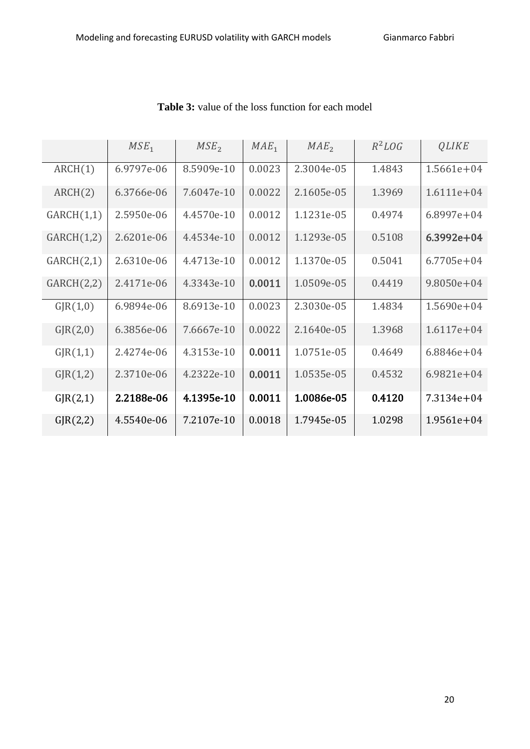|            | MSE <sub>1</sub> | MSE <sub>2</sub> | $MAE_1$ | MAE <sub>2</sub> | $R^2$ <i>LOG</i> | <b>QLIKE</b>   |
|------------|------------------|------------------|---------|------------------|------------------|----------------|
| ARCH(1)    | 6.9797e-06       | 8.5909e-10       | 0.0023  | 2.3004e-05       | 1.4843           | $1.5661e + 04$ |
| ARCH(2)    | 6.3766e-06       | 7.6047e-10       | 0.0022  | 2.1605e-05       | 1.3969           | $1.6111e + 04$ |
| GARCH(1,1) | 2.5950e-06       | 4.4570e-10       | 0.0012  | 1.1231e-05       | 0.4974           | $6.8997e + 04$ |
| GARCH(1,2) | 2.6201e-06       | 4.4534e-10       | 0.0012  | 1.1293e-05       | 0.5108           | $6.3992e + 04$ |
| GARCH(2,1) | 2.6310e-06       | 4.4713e-10       | 0.0012  | 1.1370e-05       | 0.5041           | $6.7705e + 04$ |
| GARCH(2,2) | 2.4171e-06       | 4.3343e-10       | 0.0011  | 1.0509e-05       | 0.4419           | $9.8050e + 04$ |
| GIR(1,0)   | 6.9894e-06       | 8.6913e-10       | 0.0023  | 2.3030e-05       | 1.4834           | $1.5690e + 04$ |
| GIR(2,0)   | 6.3856e-06       | 7.6667e-10       | 0.0022  | 2.1640e-05       | 1.3968           | $1.6117e + 04$ |
| GIR(1,1)   | 2.4274e-06       | 4.3153e-10       | 0.0011  | 1.0751e-05       | 0.4649           | $6.8846e + 04$ |
| GIR(1,2)   | 2.3710e-06       | 4.2322e-10       | 0.0011  | 1.0535e-05       | 0.4532           | $6.9821e+04$   |
| GIR(2,1)   | 2.2188e-06       | 4.1395e-10       | 0.0011  | 1.0086e-05       | 0.4120           | 7.3134e+04     |
| GIR(2,2)   | 4.5540e-06       | 7.2107e-10       | 0.0018  | 1.7945e-05       | 1.0298           | $1.9561e+04$   |

**Table 3:** value of the loss function for each model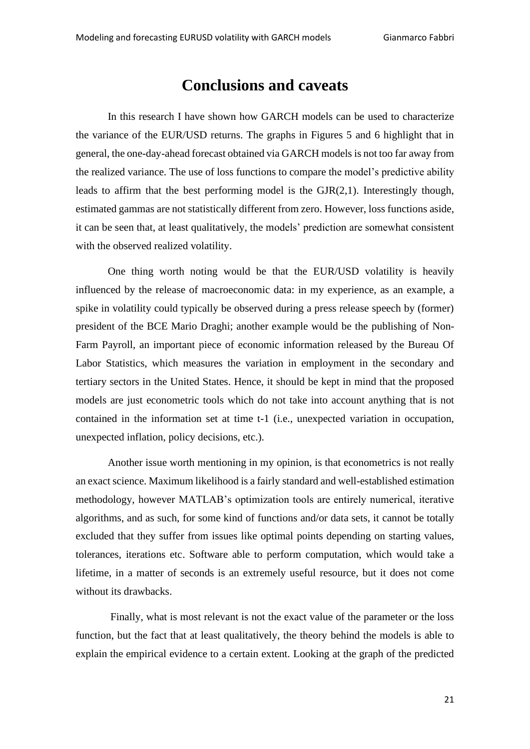# **Conclusions and caveats**

In this research I have shown how GARCH models can be used to characterize the variance of the EUR/USD returns. The graphs in Figures 5 and 6 highlight that in general, the one-day-ahead forecast obtained via GARCH models is not too far away from the realized variance. The use of loss functions to compare the model's predictive ability leads to affirm that the best performing model is the GJR(2,1). Interestingly though, estimated gammas are not statistically different from zero. However, loss functions aside, it can be seen that, at least qualitatively, the models' prediction are somewhat consistent with the observed realized volatility.

One thing worth noting would be that the EUR/USD volatility is heavily influenced by the release of macroeconomic data: in my experience, as an example, a spike in volatility could typically be observed during a press release speech by (former) president of the BCE Mario Draghi; another example would be the publishing of Non-Farm Payroll, an important piece of economic information released by the Bureau Of Labor Statistics, which measures the variation in employment in the secondary and tertiary sectors in the United States. Hence, it should be kept in mind that the proposed models are just econometric tools which do not take into account anything that is not contained in the information set at time t-1 (i.e., unexpected variation in occupation, unexpected inflation, policy decisions, etc.).

Another issue worth mentioning in my opinion, is that econometrics is not really an exact science. Maximum likelihood is a fairly standard and well-established estimation methodology, however MATLAB's optimization tools are entirely numerical, iterative algorithms, and as such, for some kind of functions and/or data sets, it cannot be totally excluded that they suffer from issues like optimal points depending on starting values, tolerances, iterations etc. Software able to perform computation, which would take a lifetime, in a matter of seconds is an extremely useful resource, but it does not come without its drawbacks.

Finally, what is most relevant is not the exact value of the parameter or the loss function, but the fact that at least qualitatively, the theory behind the models is able to explain the empirical evidence to a certain extent. Looking at the graph of the predicted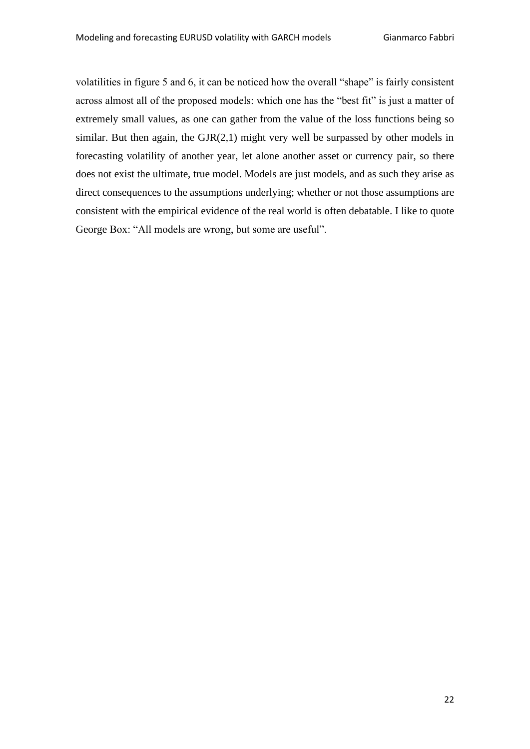volatilities in figure 5 and 6, it can be noticed how the overall "shape" is fairly consistent across almost all of the proposed models: which one has the "best fit" is just a matter of extremely small values, as one can gather from the value of the loss functions being so similar. But then again, the  $GIR(2,1)$  might very well be surpassed by other models in forecasting volatility of another year, let alone another asset or currency pair, so there does not exist the ultimate, true model. Models are just models, and as such they arise as direct consequences to the assumptions underlying; whether or not those assumptions are consistent with the empirical evidence of the real world is often debatable. I like to quote George Box: "All models are wrong, but some are useful".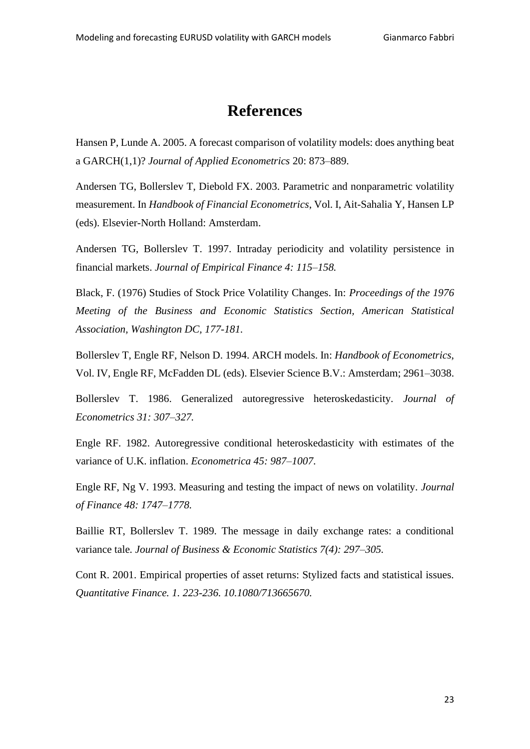# **References**

Hansen P, Lunde A. 2005. A forecast comparison of volatility models: does anything beat a GARCH(1,1)? *Journal of Applied Econometrics* 20: 873–889.

Andersen TG, Bollerslev T, Diebold FX. 2003. Parametric and nonparametric volatility measurement. In *Handbook of Financial Econometrics*, Vol. I, Ait-Sahalia Y, Hansen LP (eds). Elsevier-North Holland: Amsterdam.

Andersen TG, Bollerslev T. 1997. Intraday periodicity and volatility persistence in financial markets. *Journal of Empirical Finance 4: 115–158.*

Black, F. (1976) Studies of Stock Price Volatility Changes. In: *Proceedings of the 1976 Meeting of the Business and Economic Statistics Section, American Statistical Association, Washington DC, 177-181.*

Bollerslev T, Engle RF, Nelson D. 1994. ARCH models. In: *Handbook of Econometrics*, Vol. IV, Engle RF, McFadden DL (eds). Elsevier Science B.V.: Amsterdam; 2961–3038.

Bollerslev T. 1986. Generalized autoregressive heteroskedasticity. *Journal of Econometrics 31: 307–327.*

Engle RF. 1982. Autoregressive conditional heteroskedasticity with estimates of the variance of U.K. inflation. *Econometrica 45: 987–1007*.

Engle RF, Ng V. 1993. Measuring and testing the impact of news on volatility. *Journal of Finance 48: 1747–1778.*

Baillie RT, Bollerslev T. 1989. The message in daily exchange rates: a conditional variance tale*. Journal of Business & Economic Statistics 7(4): 297–305.*

Cont R. 2001. Empirical properties of asset returns: Stylized facts and statistical issues. *Quantitative Finance. 1. 223-236. 10.1080/713665670.*